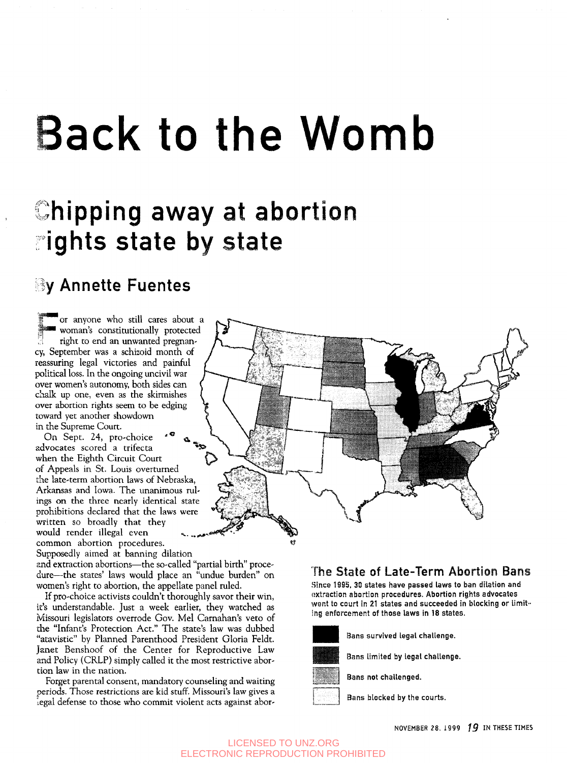# Back to the Womb

# Chipping away at abortion ights state by state

## **By Annette Fuentes**

or anyone who still cares about a 1 s woman's constitutionally protected right to end an unwanted pregnancy, September was a schizoid month of reassuring legal victories and painful political loss. In the ongoing uncivil war over women's autonomy, both sides can chalk up one, even as the skirmishes over abortion rights seem to be edging toward yet another showdown in the Supreme Court.

On Sept. 24, pro-choice <sup>5</sup> « advocates scored a trifecta when the Eighth Circuit Court of Appeals in St. Louis overturned the late-term abortion laws of Nebraska, Arkansas and Iowa. The unanimous rulings on the three nearly identical state prohibitions declared that the laws were written so broadly that they would render illegal even common abortion procedures. Supposedly aimed at banning dilation

and extraction abortions—the so-called "partial birth" procedure—the states' laws would place an "undue burden" on women's right to abortion, the appellate panel ruled.

If pro-choice activists couldn't thoroughly savor their win, it's understandable. Just a week earlier, they watched as Missouri legislators overrode Gov. Mel Carnahan's veto of the "Infant's Protection Act." The state's law was dubbed "atavistic" by Planned Parenthood President Gloria Feldt. Janet Benshoof of the Center for Reproductive Law and Policy (CRLP) simply called it the most restrictive abortion law in the nation.

Forget parental consent, mandatory counseling and waiting periods. Those restrictions are kid stuff. Missouri's law gives a legal defense to those who commit violent acts against abor-



#### The State of Late-Term Abortion Bans

.Since 1995, 30 states have passed laws to ban dilation and extraction abortion procedures. Abortion rights advocates went to court in 21 states and succeeded in blocking or limiting enforcement of those laws in 18 states.



Bans survived legal challenge.



Bans limited by legal challenge.

Bans not challenged.

Bans blocked by the courts.

NOVEMBER 28, 1999 **19** IN THESE TIMES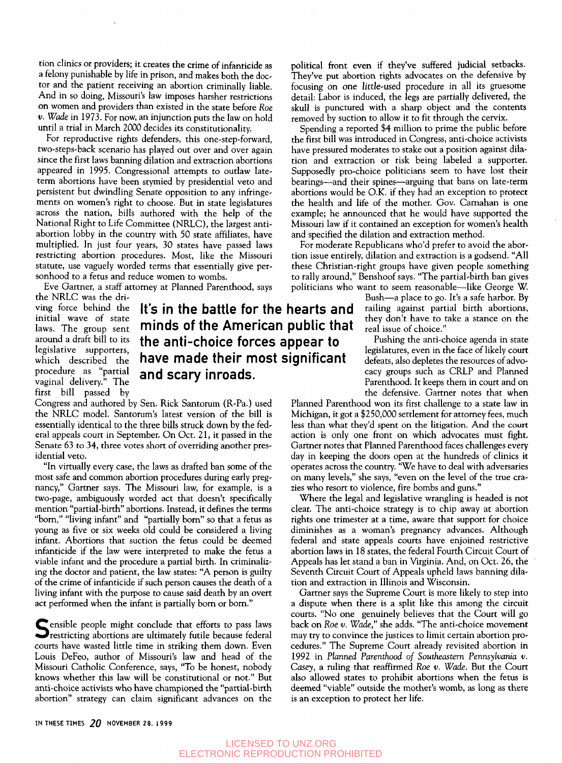tion clinics or providers; it creates the crime of infanticide as a felony punishable by life in prison, and makes both the doctor and the patient receiving an abortion criminally liable. And in so doing, Missouri's law imposes harsher restrictions on women and providers than existed in the state before *Roe v. Wade* in 1973. For now, an injunction puts the law on hold until a trial in March 2000 decides its constitutionality.

For reproductive rights defenders, this one-step-forward, two-steps-back scenario has played out over and over again since the first laws banning dilation and extraction abortions appeared in 1995. Congressional attempts to outlaw lateterm abortions have been stymied by presidential veto and persistent but dwindling Senate opposition to any infringements on women's right to choose. But in state legislatures across the nation, bills authored with the help of the National Right to Life Committee (NRLC), the largest antiabortion lobby in the country with 50 state affiliates, have multiplied. In just four years, 30 states have passed laws restricting abortion procedures. Most, like the Missouri statute, use vaguely worded terms that essentially give personhood to a fetus and reduce women to wombs.

Eve Gartner, a staff attorney at Planned Parenthood, says

the NRLC was the driving force behind the initial wave of state laws. The group sent around a draft bill to its legislative supporters, which described the procedure as "partial vaginal delivery." The first bill passed by

### It's in the battle for the hearts and minds of the American public that the anti-choice forces appear to have made their most significant and scary inroads.

Congress and authored by Sen. Rick Santorum (R-Pa.) used the NRLC model. Santorum's latest version of the bill is essentially identical to the three bills struck down by the federal appeals court in September. On Oct. 21, it passed in the Senate 63 to 34, three votes short of overriding another presidential veto.

"In virtually every case, the laws as drafted ban some of the most safe and common abortion procedures during early pregnancy," Gartner says. The Missouri law, for example, is a two-page, ambiguously worded act that doesn't specifically mention "partial-birth" abortions. Instead, it defines the terms "bom," "living infant" and "partially born" so that a fetus as young as five or six weeks old could be considered a living infant. Abortions that suction the fetus could be deemed infanticide if the law were interpreted to make the fetus a viable infant and the procedure a partial birth. In criminalizing the doctor and patient, the law states: "A person is guilty of the crime of infanticide if such person causes the death of a living infant with the purpose to cause said death by an overt act performed when the infant is partially born or born."

Sensible people might conclude that efforts to pass laws<br>Sestricting abortions are ultimately futile because federal<br>water have more deliver in which we have force restricting abortions are ultimately futile because federal courts have wasted little time in striking them down. Even Louis DeFeo, author of Missouri's law and head of the Missouri Catholic Conference, says, "To be honest, nobody knows whether this law will be constitutional or not." But anti-choice activists who have championed the "partial-birth abortion" strategy can claim significant advances on the political front even if they've suffered judicial setbacks. They've put abortion rights advocates on the defensive by focusing on one little-used procedure in all its gruesome detail: Labor is induced, the legs are partially delivered, the skull is punctured with a sharp object and the contents removed by suction to allow it to fit through the cervix.

Spending a reported \$4 million to prime the public before the first bill was introduced in Congress, anti-choice activists have pressured moderates to stake out a position against dilation and extraction or risk being labeled a supporter. Supposedly pro-choice politicians seem to have lost their bearings—and their spines—arguing that bans on late-term abortions would be O.K. if they had an exception to protect the health and life of the mother. Gov. Carnahan is one example; he announced that he would have supported the Missouri law if it contained an exception for women's health and specified the dilation and extraction method.

For moderate Republicans who'd prefer to avoid the abortion issue entirely, dilation and extraction is a godsend. "All these Christian-right groups have given people something to rally around," Benshoof says. "The partial-birth ban gives politicians who want to seem reasonable—like George W.

> Bush—a place to go. It's a safe harbor. By railing against partial birth abortions, they don't have to take a stance on the real issue of choice."

Pushing the anti-choice agenda in state legislatures, even in the face of likely court defeats, also depletes the resources of advocacy groups such as CRLP and Planned Parenthood. It keeps them in court and on the defensive. Gartner notes that when

Planned Parenthood won its first challenge to a state law in Michigan, it got a \$250,000 settlement for attorney fees, much less than what they'd spent on the litigation. And the court action is only one front on which advocates must fight. Gartner notes that Planned Parenthood faces challenges every day in keeping the doors open at the hundreds of clinics it operates across the country. "We have to deal with adversaries on many levels," she says, "even on the level of the true crazies who resort to violence, fire bombs and guns."

Where the legal and legislative wrangling is headed is not clear. The anti-choice strategy is to chip away at abortion rights one trimester at a time, aware that support for choice diminishes as a woman's pregnancy advances. Although federal and state appeals courts have enjoined restrictive abortion laws in 18 states, the federal Fourth Circuit Court of Appeals has let stand a ban in Virginia. And, on Oct. 26, the Seventh Circuit Court of Appeals upheld laws banning dilation and extraction in Illinois and Wisconsin.

Gartner says the Supreme Court is more likely to step into a dispute when there is a split like this among the circuit courts. "No one genuinely believes that the Court will go back on *Roe v. Wade,"* she adds. "The anti-choice movement may try to convince the justices to limit certain abortion procedures." The Supreme Court already revisited abortion in 1992 in *Planned Parenthood of Southeastern Pennsylvania v. Casey,* a ruling that reaffirmed *Roe v. Wade.* But the Court also allowed states to prohibit abortions when the fetus is deemed "viable" outside the mother's womb, as long as there is an exception to protect her life.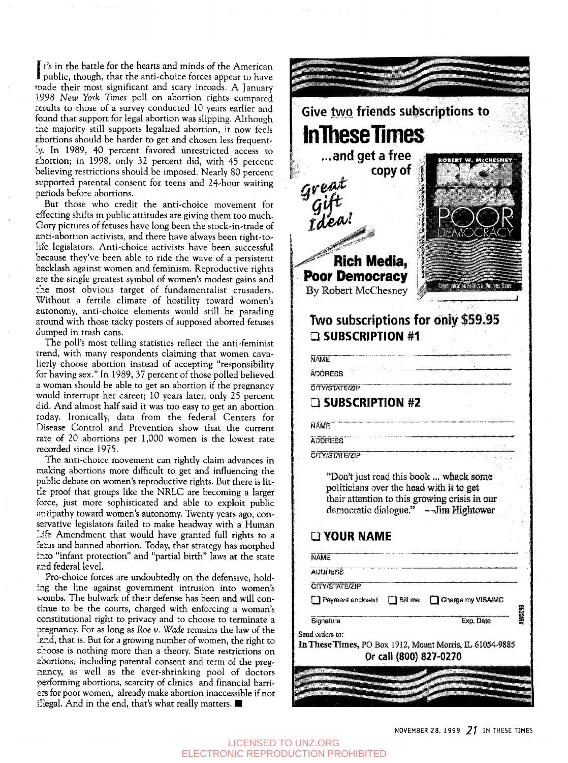I public, though, that the anti-choice forces appear to have t's in the battle for the hearts and minds of the American made their most significant and scary inroads. A January 1998 *New York* Times poll on abortion rights compared results to those of a survey conducted 10 years earlier and found that support for legal abortion was slipping. Although the majority still supports legalized abortion, it now feels abortions should be harder to get and chosen less frequently. In 1989, 40 percent favored unrestricted access to sbortion; in 1998, only 32 percent did, with 45 percent believing restrictions should be imposed. Nearly 80 percent supported parental consent for teens and 24-hour waiting periods before abortions.

But those who credit the anti-choice movement for effecting shifts in public attitudes are giving them too much. Gory pictures of fetuses have long been the stock-in-trade of anti-abortion activists, and there have always been right-tolife legislators. Anti-choice activists have been successful because they've been able to ride the wave of a persistent backlash against women and feminism. Reproductive rights are the single greatest symbol of women's modest gains and the most obvious target of fundamentalist crusaders. Without a fertile climate of hostility toward women's autonomy, anti-choice elements would still be parading around with those tacky posters of supposed aborted fetuses dumped in trash cans.

The poll's most telling statistics reflect the anti-feminist trend, with many respondents claiming that women cavalierly choose abortion instead of accepting "responsibility for having sex." In 1989, 37 percent of those polled believed a woman should be able to get an abortion if the pregnancy would interrupt her career; 10 years later, only 25 percent did. And almost half said it was too easy to get an abortion today. Ironically, data from the federal Centers for Disease Control and Prevention show that the current rate of 20 abortions per 1,000 women is the lowest rate recorded since 1975.

The anti-choice movement can rightly claim advances in making abortions more difficult to get and influencing the public debate on women's reproductive rights. But there is little proof that groups like the NRLC are becoming a larger force, just more sophisticated and able to exploit public antipathy toward women's autonomy. Twenty years ago, conservative legislators failed to make headway with a Human Life Amendment that would have granted full rights to a fetus and banned abortion. Today, that strategy has morphed into "infant protection" and "partial birth" laws at the state and federal level.

Pro-choice forces are undoubtedly on the defensive, holding the line against government intrusion into women's wombs. The bulwark of their defense has been and will continue to be the courts, charged with enforcing a woman's constitutional right to privacy and to choose to terminate a pregnancy. For as long as *Roe v. Wade* remains the law of the lend, that is. But for a growing number of women, the right to caoose is nothing more than a theory. State restrictions on abortions, including parental consent and term of the pregnancy, as well as the ever-shrinking pool of doctors performing abortions, scarcity of clinics and financial barriextraining abortion, beaten, or entire and matricial barriers for poor women, already make abortion inaccessible if not illegal. And in the end, that's what really matters.